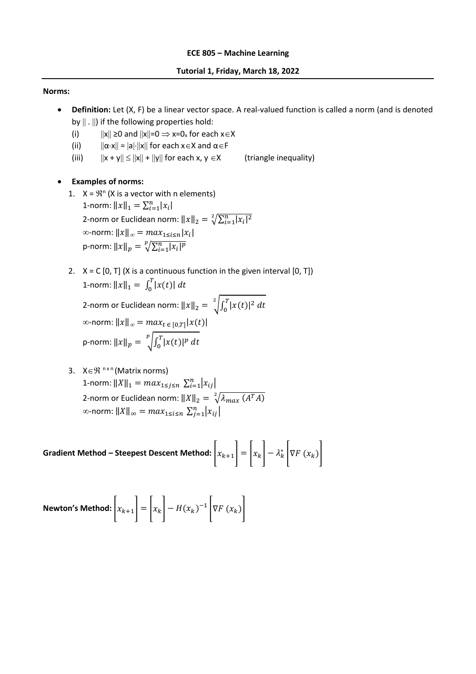## **Norms:**

- **Definition:** Let (X, F) be a linear vector space. A real-valued function is called a norm (and is denoted by  $\|\cdot\|$  if the following properties hold:
	- (i)  $||x|| \ge 0$  and  $||x||=0 \Rightarrow x=0$ <sub>x</sub> for each  $x \in X$
	- (ii)  $||\alpha \cdot x|| = |a| \cdot ||x||$  for each  $x \in X$  and  $\alpha \in F$
	- (iii)  $||x + y|| \le ||x|| + ||y||$  for each x,  $y \in X$  (triangle inequality)

## • **Examples of norms:**

- 1.  $X = \mathbb{R}^n$  (X is a vector with n elements) 1-norm:  $||x||_1 = \sum_{i=1}^n |x_i|$ 2-norm or Euclidean norm:  $||x||_2 = \sqrt[2]{\sum_{i=1}^n |x_i|^2}$  $\infty$ -norm:  $||x||_{\infty} = max_{1 \le i \le n} |x_i|$ p-norm:  $||x||_p = \sqrt[p]{\sum_{i=1}^n |x_i|^p}$  $\boldsymbol{p}$
- 2.  $X = C$  [0, T] (X is a continuous function in the given interval [0, T]) 1-norm:  $||x||_1 = \int_0^T |x(t)| dt$ 2-norm or Euclidean norm:  $\left\|x\right\|_2=\sqrt[2]{\int_0^T\lvert x(t)\rvert^2\ dt}$ 2  $\infty$ -norm:  $||x||_{\infty} = max_{t \in [0,T]}|x(t)|$

p-norm:  $\|x\|_p = \sqrt[p]{\int_0^T |x(t)|^p dt}$  $\boldsymbol{p}$ 

3.  $X \in \mathbb{R}^{n \times n}$  (Matrix norms) 1-norm:  $||X||_1 = max_{1 \le j \le n} \sum_{i=1}^n |x_{ij}|$ 2-norm or Euclidean norm:  $\left\| X \right\|_2 = \sqrt[2]{\lambda_{max}\left( A^T A \right)}$  $\infty$ -norm:  $||X||_{\infty} = max_{1 \le i \le n} \sum_{j=1}^{n} |x_{ij}|$ 

 $\bf{Gradient~Method-Steepest~Descent~Method:}$   $\left| {x_{k + 1}} \right| = \left| {x_k } \right| - \lambda _k^* \left| {\nabla F\left( {x_k } \right)} \right|$ 

**Newton's Method:** 
$$
\left[x_{k+1}\right] = \left[x_k\right] - H(x_k)^{-1} \left[\nabla F(x_k)\right]
$$